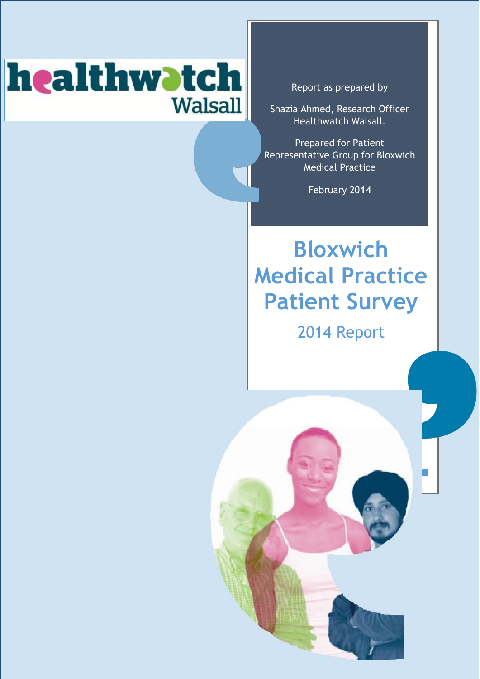# healthwotch **Walsall**

<span id="page-0-0"></span>Report as prepared by

Shazia Ahmed, Research Officer Healthwatch Walsall.

Prepared for Patient Representative Group for Bloxwich Medical Practice

February 20**14**

# **Bloxwich Medical Practice Patient Survey**

2014 Report

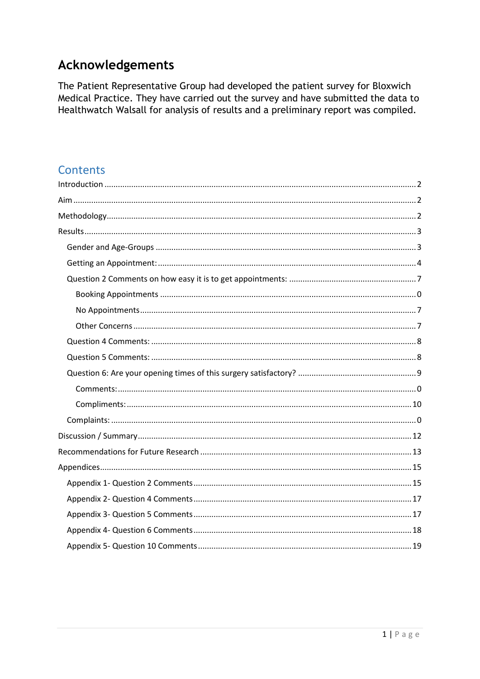### Acknowledgements

The Patient Representative Group had developed the patient survey for Bloxwich Medical Practice. They have carried out the survey and have submitted the data to Healthwatch Walsall for analysis of results and a preliminary report was compiled.

### **Contents**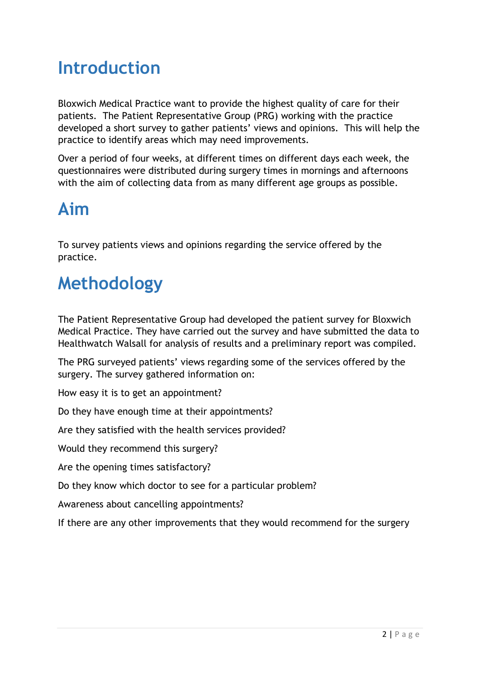## <span id="page-2-0"></span>**Introduction**

Bloxwich Medical Practice want to provide the highest quality of care for their patients. The Patient Representative Group (PRG) working with the practice developed a short survey to gather patients' views and opinions. This will help the practice to identify areas which may need improvements.

Over a period of four weeks, at different times on different days each week, the questionnaires were distributed during surgery times in mornings and afternoons with the aim of collecting data from as many different age groups as possible.

## <span id="page-2-1"></span>**Aim**

To survey patients views and opinions regarding the service offered by the practice.

## <span id="page-2-2"></span>**Methodology**

The Patient Representative Group had developed the patient survey for Bloxwich Medical Practice. They have carried out the survey and have submitted the data to Healthwatch Walsall for analysis of results and a preliminary report was compiled.

The PRG surveyed patients' views regarding some of the services offered by the surgery. The survey gathered information on:

How easy it is to get an appointment?

Do they have enough time at their appointments?

Are they satisfied with the health services provided?

Would they recommend this surgery?

Are the opening times satisfactory?

Do they know which doctor to see for a particular problem?

Awareness about cancelling appointments?

If there are any other improvements that they would recommend for the surgery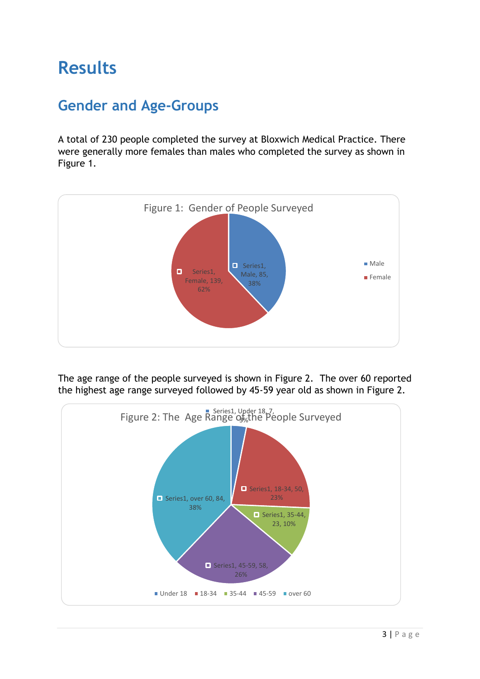## <span id="page-3-0"></span>**Results**

## <span id="page-3-1"></span>**Gender and Age-Groups**

A total of 230 people completed the survey at Bloxwich Medical Practice. There were generally more females than males who completed the survey as shown in Figure 1.



The age range of the people surveyed is shown in Figure 2. The over 60 reported the highest age range surveyed followed by 45-59 year old as shown in Figure 2.

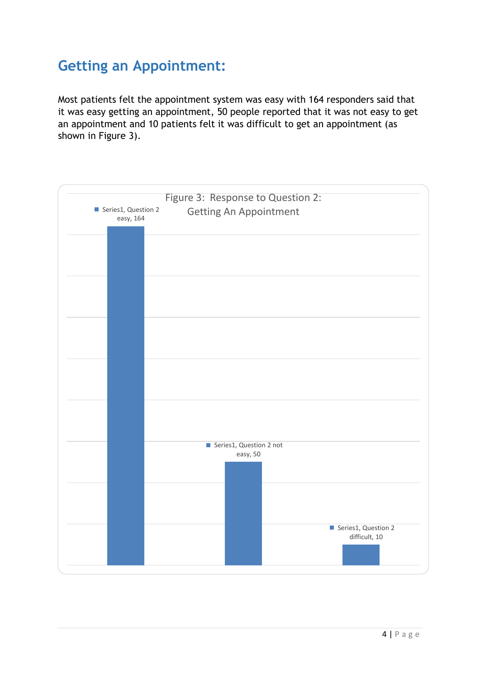## <span id="page-4-0"></span>**Getting an Appointment:**

Most patients felt the appointment system was easy with 164 responders said that it was easy getting an appointment, 50 people reported that it was not easy to get an appointment and 10 patients felt it was difficult to get an appointment (as shown in Figure 3).

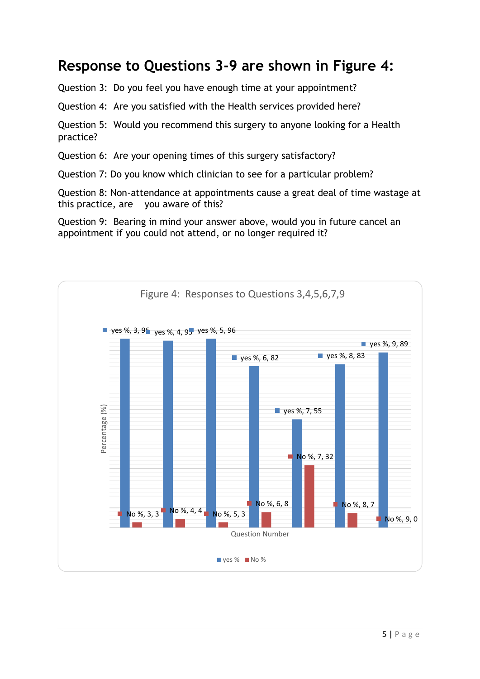### **Response to Questions 3-9 are shown in Figure 4:**

Question 3: Do you feel you have enough time at your appointment?

Question 4: Are you satisfied with the Health services provided here?

Question 5: Would you recommend this surgery to anyone looking for a Health practice?

Question 6: Are your opening times of this surgery satisfactory?

Question 7: Do you know which clinician to see for a particular problem?

Question 8: Non-attendance at appointments cause a great deal of time wastage at this practice, are you aware of this?

Question 9: Bearing in mind your answer above, would you in future cancel an appointment if you could not attend, or no longer required it?

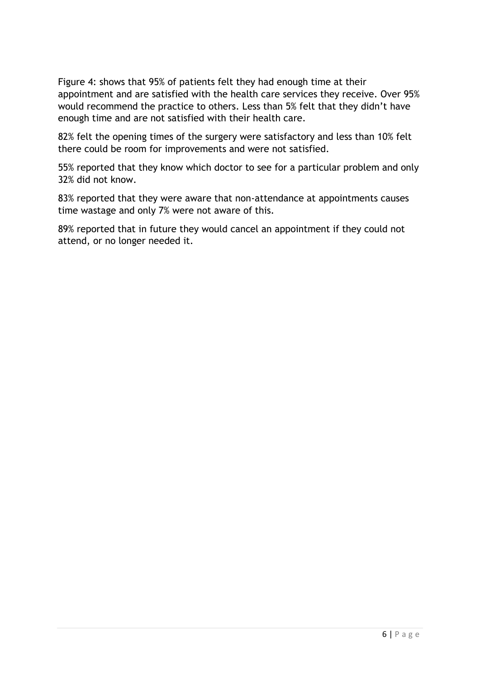Figure 4: shows that 95% of patients felt they had enough time at their appointment and are satisfied with the health care services they receive. Over 95% would recommend the practice to others. Less than 5% felt that they didn't have enough time and are not satisfied with their health care.

82% felt the opening times of the surgery were satisfactory and less than 10% felt there could be room for improvements and were not satisfied.

55% reported that they know which doctor to see for a particular problem and only 32% did not know.

83% reported that they were aware that non-attendance at appointments causes time wastage and only 7% were not aware of this.

89% reported that in future they would cancel an appointment if they could not attend, or no longer needed it.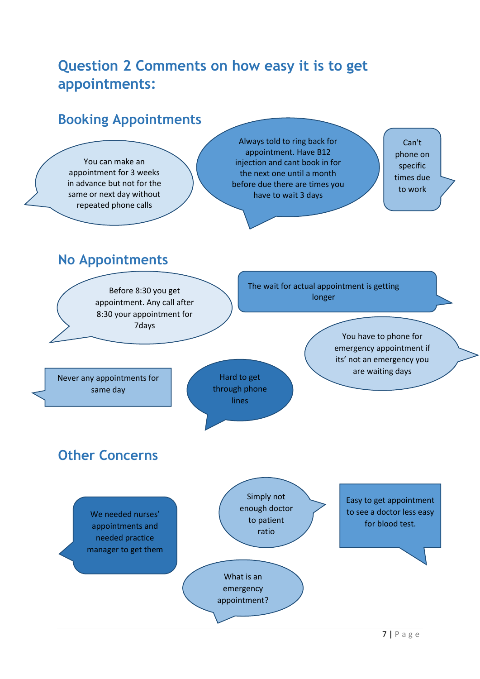## <span id="page-7-0"></span>**Question 2 Comments on how easy it is to get appointments:**

### **Booking Appointments**

You can make an appointment for 3 weeks in advance but not for the same or next day without repeated phone calls

Always told to ring back for appointment. Have B12 injection and cant book in for the next one until a month before due there are times you have to wait 3 days

Can't phone on specific times due to work

## <span id="page-7-1"></span>**No Appointments**

Before 8:30 you get appointment. Any call after 8:30 your appointment for 7days

The wait for actual appointment is getting longer

> You have to phone for emergency appointment if its' not an emergency you are waiting days

Never any appointments for same day

<span id="page-7-2"></span>**Other Concerns**



Hard to get through phone lines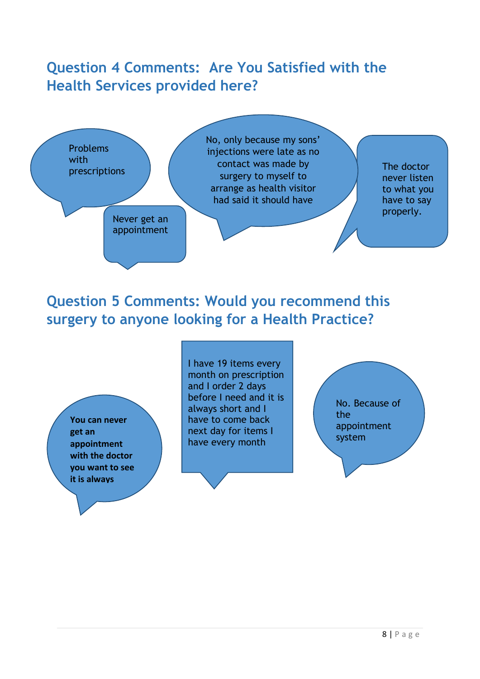## <span id="page-8-0"></span>**Question 4 Comments: Are You Satisfied with the Health Services provided here?**



### <span id="page-8-1"></span>**Question 5 Comments: Would you recommend this surgery to anyone looking for a Health Practice?**

**You can never get an appointment with the doctor you want to see it is always cancellations**.

I have 19 items every month on prescription and I order 2 days before I need and it is always short and I have to come back next day for items I have every month

No. Because of the appointment system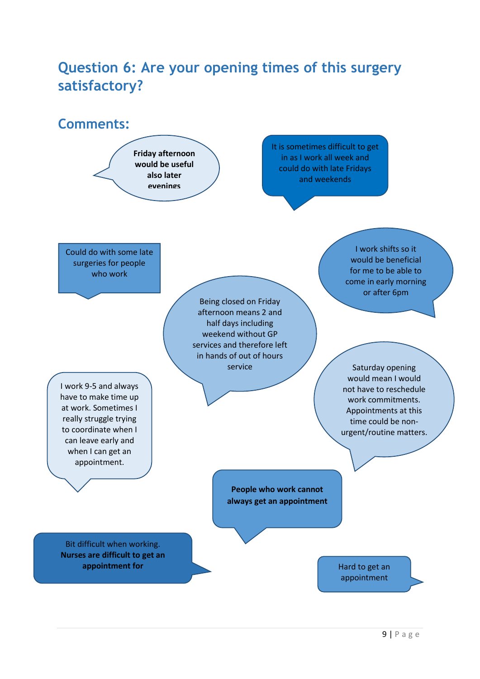## <span id="page-9-0"></span>**Question 6: Are your opening times of this surgery satisfactory?**

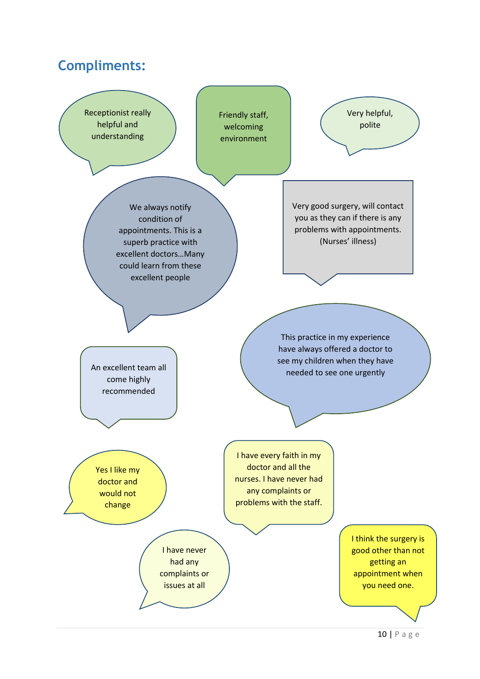### <span id="page-10-0"></span>**Compliments:**

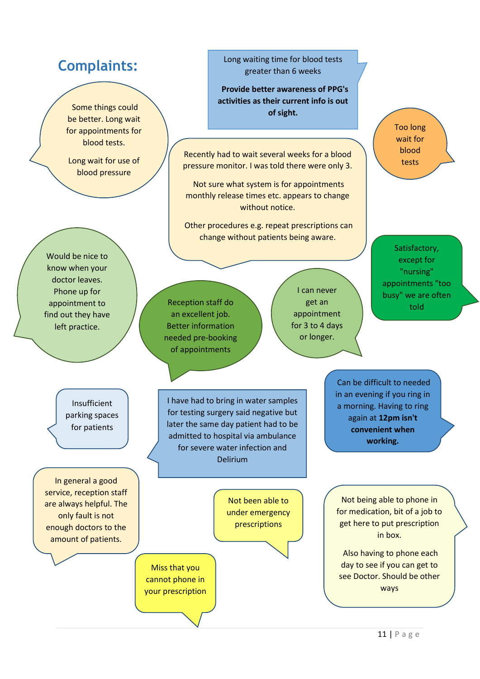### **Complaints:**

Some things could be better. Long wait for appointments for blood tests.

Long wait for use of blood pressure

Would be nice to know when your doctor leaves. Phone up for appointment to find out they have left practice.

> Insufficient parking spaces for patients

In general a good service, reception staff are always helpful. The only fault is not enough doctors to the amount of patients.

Long waiting time for blood tests greater than 6 weeks

 **Provide better awareness of PPG's activities as their current info is out of sight.**

Recently had to wait several weeks for a blood pressure monitor. I was told there were only 3.

Not sure what system is for appointments monthly release times etc. appears to change without notice.

Other procedures e.g. repeat prescriptions can change without patients being aware.

Reception staff do an excellent job. Better information needed pre-booking of appointments

I can never get an appointment for 3 to 4 days or longer.

Too long wait for blood tests

Satisfactory, except for "nursing" appointments "too busy" we are often told

I have had to bring in water samples for testing surgery said negative but later the same day patient had to be admitted to hospital via ambulance for severe water infection and Delirium

> Not been able to under emergency prescriptions

Miss that you cannot phone in your prescription

Not being able to phone in for medication, bit of a job to get here to put prescription in box.

Can be difficult to needed in an evening if you ring in a morning. Having to ring again at **12pm isn't convenient when working.**

Also having to phone each day to see if you can get to see Doctor. Should be other ways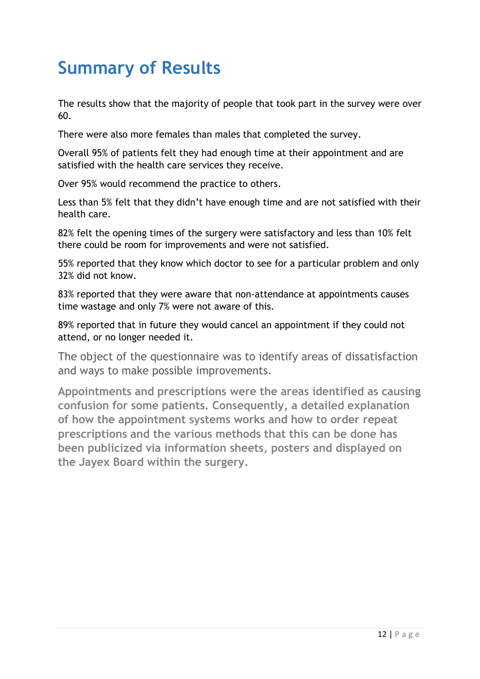## <span id="page-12-0"></span>**Summary of Results**

The results show that the majority of people that took part in the survey were over 60.

There were also more females than males that completed the survey.

Overall 95% of patients felt they had enough time at their appointment and are satisfied with the health care services they receive.

Over 95% would recommend the practice to others.

Less than 5% felt that they didn't have enough time and are not satisfied with their health care.

82% felt the opening times of the surgery were satisfactory and less than 10% felt there could be room for improvements and were not satisfied.

55% reported that they know which doctor to see for a particular problem and only 32% did not know.

83% reported that they were aware that non-attendance at appointments causes time wastage and only 7% were not aware of this.

89% reported that in future they would cancel an appointment if they could not attend, or no longer needed it.

The object of the questionnaire was to identify areas of dissatisfaction and ways to make possible improvements.

**Appointments and prescriptions were the areas identified as causing confusion for some patients. Consequently, a detailed explanation of how the appointment systems works and how to order repeat prescriptions and the various methods that this can be done has been publicized via information sheets, posters and displayed on the Jayex Board within the surgery.**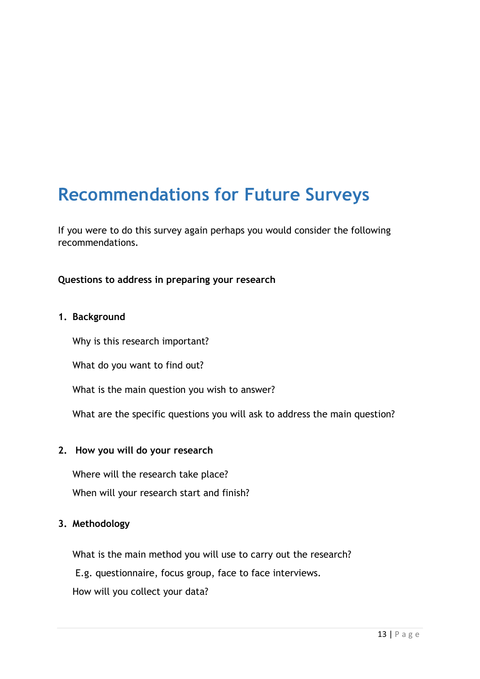## <span id="page-13-0"></span>**Recommendations for Future Surveys**

If you were to do this survey again perhaps you would consider the following recommendations.

#### **Questions to address in preparing your research**

#### **1. Background**

Why is this research important?

What do you want to find out?

What is the main question you wish to answer?

What are the specific questions you will ask to address the main question?

#### **2. How you will do your research**

Where will the research take place? When will your research start and finish?

#### **3. Methodology**

What is the main method you will use to carry out the research? E.g. questionnaire, focus group, face to face interviews. How will you collect your data?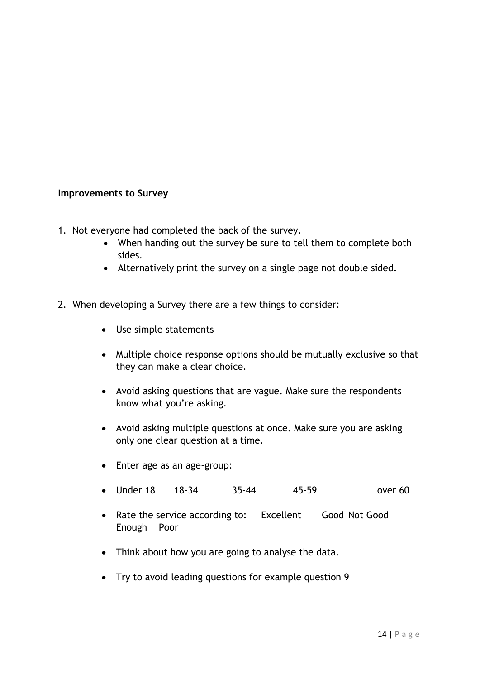#### **Improvements to Survey**

- 1. Not everyone had completed the back of the survey.
	- When handing out the survey be sure to tell them to complete both sides.
	- Alternatively print the survey on a single page not double sided.
- 2. When developing a Survey there are a few things to consider:
	- Use simple statements
	- Multiple choice response options should be mutually exclusive so that they can make a clear choice.
	- Avoid asking questions that are vague. Make sure the respondents know what you're asking.
	- Avoid asking multiple questions at once. Make sure you are asking only one clear question at a time.
	- Enter age as an age-group:
	- Under 18 18-34 35-44 45-59 over 60
	- Rate the service according to: Excellent Good Not Good Enough Poor
	- Think about how you are going to analyse the data.
	- Try to avoid leading questions for example question 9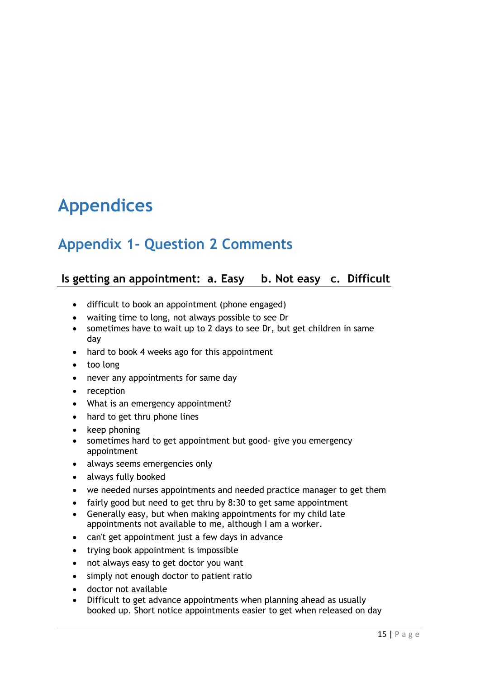## <span id="page-15-0"></span>**Appendices**

## <span id="page-15-1"></span>**Appendix 1- Question 2 Comments**

#### **Is getting an appointment: a. Easy b. Not easy c. Difficult**

- difficult to book an appointment (phone engaged)
- waiting time to long, not always possible to see Dr
- sometimes have to wait up to 2 days to see Dr, but get children in same day
- hard to book 4 weeks ago for this appointment
- too long
- never any appointments for same day
- reception
- What is an emergency appointment?
- hard to get thru phone lines
- keep phoning
- sometimes hard to get appointment but good- give you emergency appointment
- always seems emergencies only
- always fully booked
- we needed nurses appointments and needed practice manager to get them
- fairly good but need to get thru by 8:30 to get same appointment
- Generally easy, but when making appointments for my child late appointments not available to me, although I am a worker.
- can't get appointment just a few days in advance
- trying book appointment is impossible
- not always easy to get doctor you want
- simply not enough doctor to patient ratio
- doctor not available
- Difficult to get advance appointments when planning ahead as usually booked up. Short notice appointments easier to get when released on day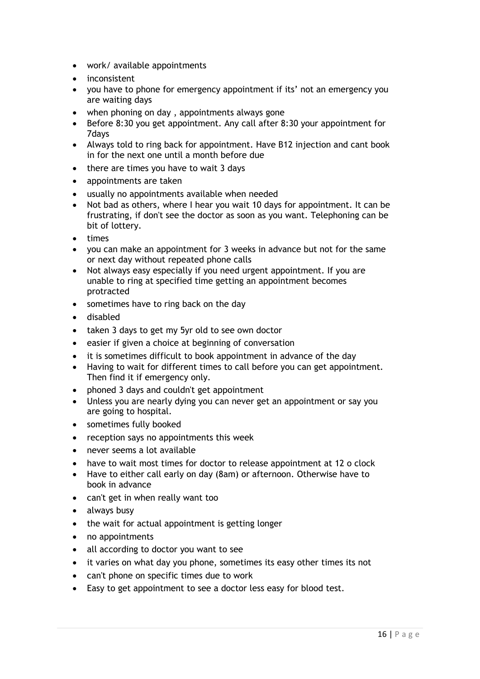- work/ available appointments
- inconsistent
- you have to phone for emergency appointment if its' not an emergency you are waiting days
- when phoning on day , appointments always gone
- Before 8:30 you get appointment. Any call after 8:30 your appointment for 7days
- Always told to ring back for appointment. Have B12 injection and cant book in for the next one until a month before due
- there are times you have to wait 3 days
- appointments are taken
- usually no appointments available when needed
- Not bad as others, where I hear you wait 10 days for appointment. It can be frustrating, if don't see the doctor as soon as you want. Telephoning can be bit of lottery.
- times
- you can make an appointment for 3 weeks in advance but not for the same or next day without repeated phone calls
- Not always easy especially if you need urgent appointment. If you are unable to ring at specified time getting an appointment becomes protracted
- sometimes have to ring back on the day
- disabled
- taken 3 days to get my 5yr old to see own doctor
- easier if given a choice at beginning of conversation
- it is sometimes difficult to book appointment in advance of the day
- Having to wait for different times to call before you can get appointment. Then find it if emergency only.
- phoned 3 days and couldn't get appointment
- Unless you are nearly dying you can never get an appointment or say you are going to hospital.
- sometimes fully booked
- reception says no appointments this week
- never seems a lot available
- have to wait most times for doctor to release appointment at 12 o clock
- Have to either call early on day (8am) or afternoon. Otherwise have to book in advance
- can't get in when really want too
- always busy
- the wait for actual appointment is getting longer
- no appointments
- all according to doctor you want to see
- it varies on what day you phone, sometimes its easy other times its not
- can't phone on specific times due to work
- Easy to get appointment to see a doctor less easy for blood test.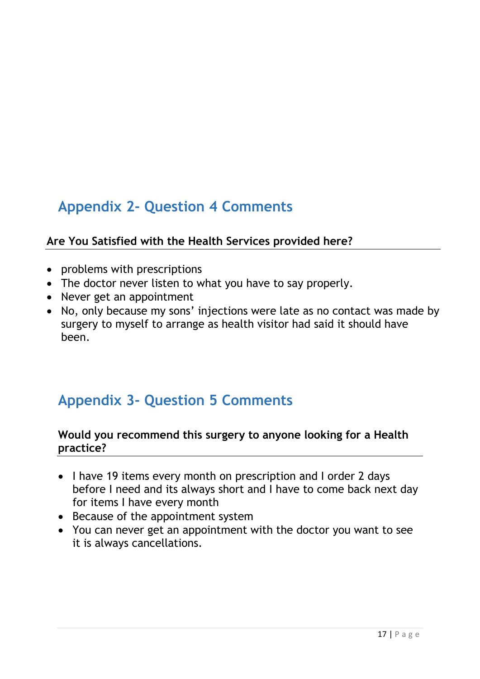## <span id="page-17-0"></span>**Appendix 2- Question 4 Comments**

### **Are You Satisfied with the Health Services provided here?**

- problems with prescriptions
- The doctor never listen to what you have to say properly.
- Never get an appointment
- No, only because my sons' injections were late as no contact was made by surgery to myself to arrange as health visitor had said it should have been.

## <span id="page-17-1"></span>**Appendix 3- Question 5 Comments**

#### **Would you recommend this surgery to anyone looking for a Health practice?**

- I have 19 items every month on prescription and I order 2 days before I need and its always short and I have to come back next day for items I have every month
- Because of the appointment system
- You can never get an appointment with the doctor you want to see it is always cancellations.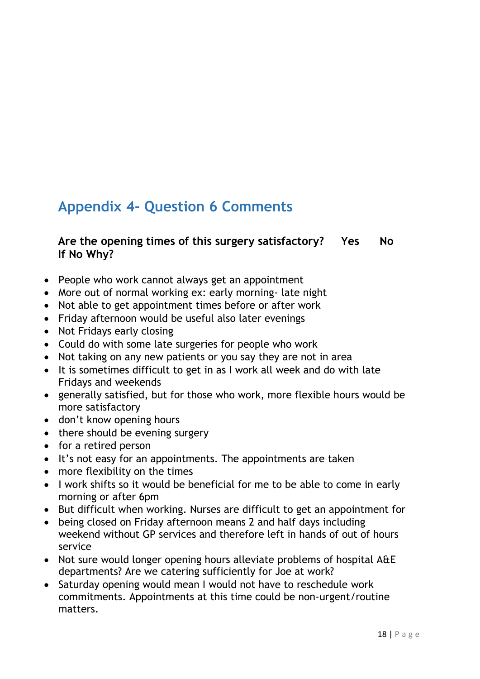## <span id="page-18-0"></span>**Appendix 4- Question 6 Comments**

### **Are the opening times of this surgery satisfactory? Yes No If No Why?**

- People who work cannot always get an appointment
- More out of normal working ex: early morning- late night
- Not able to get appointment times before or after work
- Friday afternoon would be useful also later evenings
- Not Fridays early closing
- Could do with some late surgeries for people who work
- Not taking on any new patients or you say they are not in area
- It is sometimes difficult to get in as I work all week and do with late Fridays and weekends
- generally satisfied, but for those who work, more flexible hours would be more satisfactory
- don't know opening hours
- there should be evening surgery
- for a retired person
- It's not easy for an appointments. The appointments are taken
- more flexibility on the times
- I work shifts so it would be beneficial for me to be able to come in early morning or after 6pm
- But difficult when working. Nurses are difficult to get an appointment for
- being closed on Friday afternoon means 2 and half days including weekend without GP services and therefore left in hands of out of hours service
- Not sure would longer opening hours alleviate problems of hospital A&E departments? Are we catering sufficiently for Joe at work?
- Saturday opening would mean I would not have to reschedule work commitments. Appointments at this time could be non-urgent/routine matters.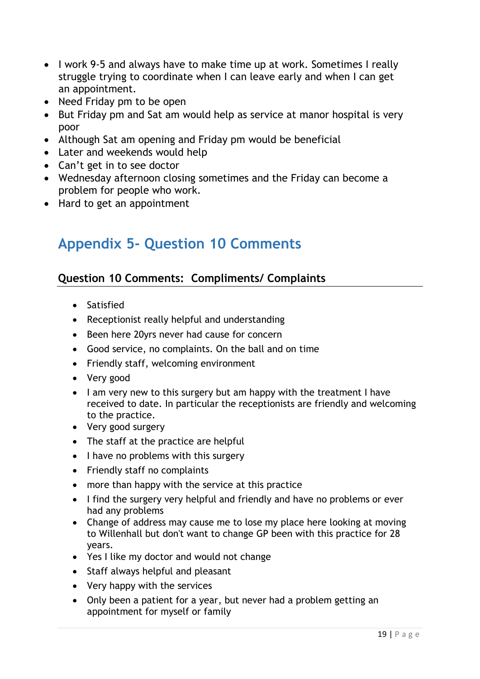- I work 9-5 and always have to make time up at work. Sometimes I really struggle trying to coordinate when I can leave early and when I can get an appointment.
- Need Friday pm to be open
- But Friday pm and Sat am would help as service at manor hospital is very poor
- Although Sat am opening and Friday pm would be beneficial
- Later and weekends would help
- Can't get in to see doctor
- Wednesday afternoon closing sometimes and the Friday can become a problem for people who work.
- Hard to get an appointment

## <span id="page-19-0"></span>**Appendix 5- Question 10 Comments**

### **Question 10 Comments: Compliments/ Complaints**

- Satisfied
- Receptionist really helpful and understanding
- Been here 20 yrs never had cause for concern
- Good service, no complaints. On the ball and on time
- Friendly staff, welcoming environment
- Very good
- I am very new to this surgery but am happy with the treatment I have received to date. In particular the receptionists are friendly and welcoming to the practice.
- Very good surgery
- The staff at the practice are helpful
- $\bullet$  I have no problems with this surgery
- Friendly staff no complaints
- more than happy with the service at this practice
- I find the surgery very helpful and friendly and have no problems or ever had any problems
- Change of address may cause me to lose my place here looking at moving to Willenhall but don't want to change GP been with this practice for 28 years.
- Yes I like my doctor and would not change
- Staff always helpful and pleasant
- Very happy with the services
- Only been a patient for a year, but never had a problem getting an appointment for myself or family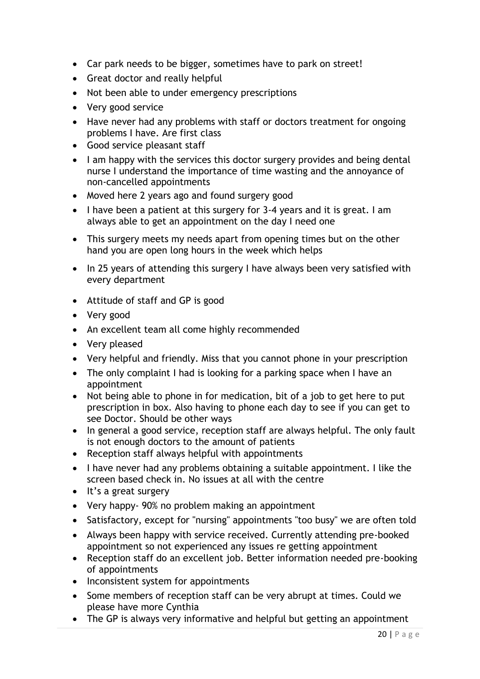- Car park needs to be bigger, sometimes have to park on street!
- Great doctor and really helpful
- Not been able to under emergency prescriptions
- Very good service
- Have never had any problems with staff or doctors treatment for ongoing problems I have. Are first class
- Good service pleasant staff
- I am happy with the services this doctor surgery provides and being dental nurse I understand the importance of time wasting and the annoyance of non-cancelled appointments
- Moved here 2 years ago and found surgery good
- I have been a patient at this surgery for 3-4 years and it is great. I am always able to get an appointment on the day I need one
- This surgery meets my needs apart from opening times but on the other hand you are open long hours in the week which helps
- In 25 years of attending this surgery I have always been very satisfied with every department
- Attitude of staff and GP is good
- Very good
- An excellent team all come highly recommended
- Very pleased
- Very helpful and friendly. Miss that you cannot phone in your prescription
- The only complaint I had is looking for a parking space when I have an appointment
- Not being able to phone in for medication, bit of a job to get here to put prescription in box. Also having to phone each day to see if you can get to see Doctor. Should be other ways
- In general a good service, reception staff are always helpful. The only fault is not enough doctors to the amount of patients
- Reception staff always helpful with appointments
- I have never had any problems obtaining a suitable appointment. I like the screen based check in. No issues at all with the centre
- It's a great surgery
- Very happy- 90% no problem making an appointment
- Satisfactory, except for "nursing" appointments "too busy" we are often told
- Always been happy with service received. Currently attending pre-booked appointment so not experienced any issues re getting appointment
- Reception staff do an excellent job. Better information needed pre-booking of appointments
- Inconsistent system for appointments
- Some members of reception staff can be very abrupt at times. Could we please have more Cynthia
- The GP is always very informative and helpful but getting an appointment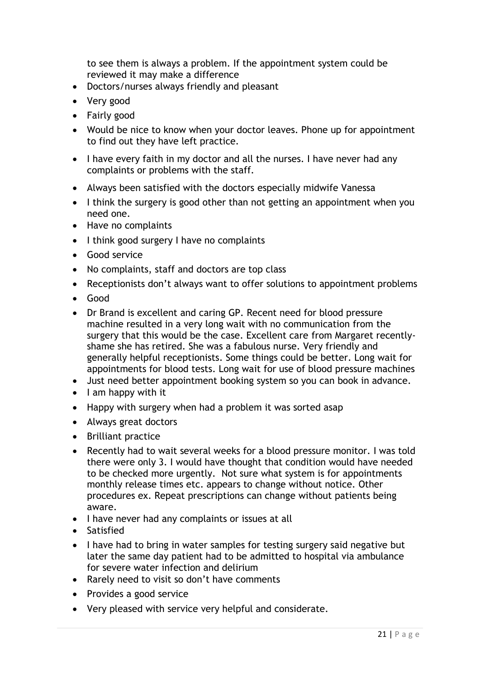to see them is always a problem. If the appointment system could be reviewed it may make a difference

- Doctors/nurses always friendly and pleasant
- Very good
- Fairly good
- Would be nice to know when your doctor leaves. Phone up for appointment to find out they have left practice.
- I have every faith in my doctor and all the nurses. I have never had any complaints or problems with the staff.
- Always been satisfied with the doctors especially midwife Vanessa
- I think the surgery is good other than not getting an appointment when you need one.
- Have no complaints
- I think good surgery I have no complaints
- Good service
- No complaints, staff and doctors are top class
- Receptionists don't always want to offer solutions to appointment problems
- Good
- Dr Brand is excellent and caring GP. Recent need for blood pressure machine resulted in a very long wait with no communication from the surgery that this would be the case. Excellent care from Margaret recentlyshame she has retired. She was a fabulous nurse. Very friendly and generally helpful receptionists. Some things could be better. Long wait for appointments for blood tests. Long wait for use of blood pressure machines
- Just need better appointment booking system so you can book in advance.
- $\bullet$  lam happy with it
- Happy with surgery when had a problem it was sorted asap
- Always great doctors
- Brilliant practice
- Recently had to wait several weeks for a blood pressure monitor. I was told there were only 3. I would have thought that condition would have needed to be checked more urgently. Not sure what system is for appointments monthly release times etc. appears to change without notice. Other procedures ex. Repeat prescriptions can change without patients being aware.
- I have never had any complaints or issues at all
- Satisfied
- I have had to bring in water samples for testing surgery said negative but later the same day patient had to be admitted to hospital via ambulance for severe water infection and delirium
- Rarely need to visit so don't have comments
- Provides a good service
- Very pleased with service very helpful and considerate.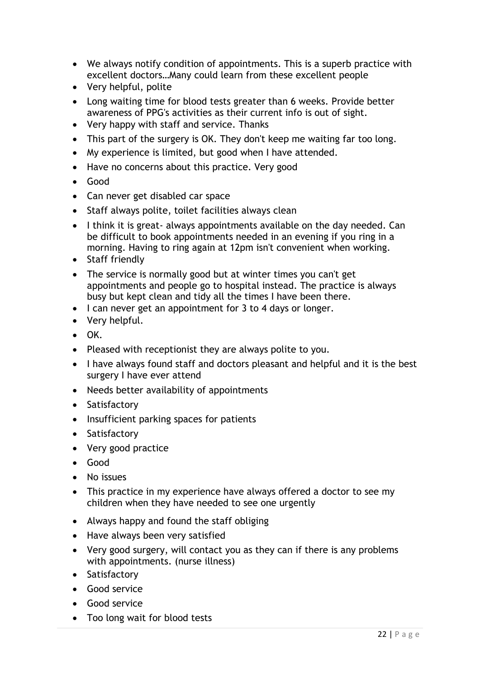- We always notify condition of appointments. This is a superb practice with excellent doctors…Many could learn from these excellent people
- Very helpful, polite
- Long waiting time for blood tests greater than 6 weeks. Provide better awareness of PPG's activities as their current info is out of sight.
- Very happy with staff and service. Thanks
- This part of the surgery is OK. They don't keep me waiting far too long.
- My experience is limited, but good when I have attended.
- Have no concerns about this practice. Very good
- Good
- Can never get disabled car space
- Staff always polite, toilet facilities always clean
- I think it is great- always appointments available on the day needed. Can be difficult to book appointments needed in an evening if you ring in a morning. Having to ring again at 12pm isn't convenient when working.
- Staff friendly
- The service is normally good but at winter times you can't get appointments and people go to hospital instead. The practice is always busy but kept clean and tidy all the times I have been there.
- I can never get an appointment for 3 to 4 days or longer.
- Very helpful.
- $\bullet$  OK.
- Pleased with receptionist they are always polite to you.
- I have always found staff and doctors pleasant and helpful and it is the best surgery I have ever attend
- Needs better availability of appointments
- Satisfactory
- Insufficient parking spaces for patients
- Satisfactory
- Very good practice
- Good
- No issues
- This practice in my experience have always offered a doctor to see my children when they have needed to see one urgently
- Always happy and found the staff obliging
- Have always been very satisfied
- Very good surgery, will contact you as they can if there is any problems with appointments. (nurse illness)
- Satisfactory
- Good service
- Good service
- Too long wait for blood tests